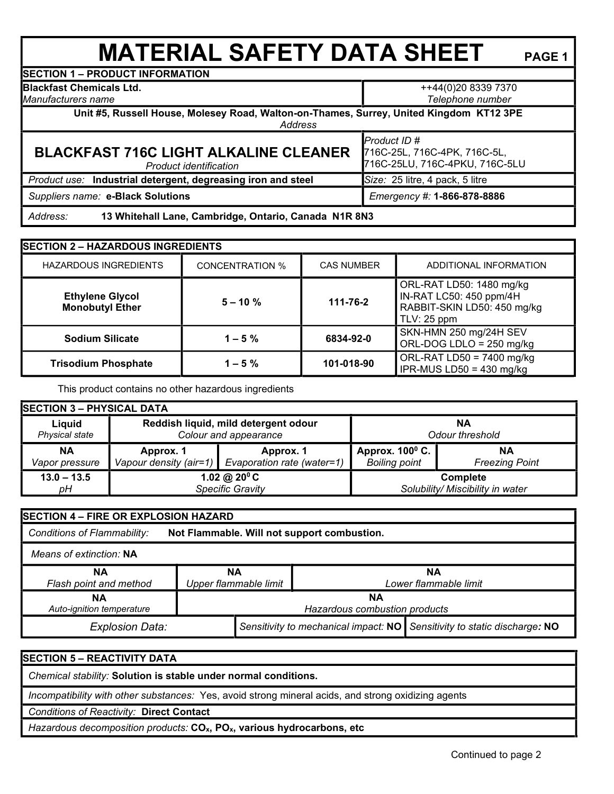## **MATERIAL SAFETY DATA SHEET** PAGE 1

**SECTION 1 – PRODUCT INFORMATION**

**Blackfast Chemicals Ltd.** 

*Manufacturers name*

++44(0)20 8339 7370

*Telephone number*

**Unit #5, Russell House, Molesey Road, Walton-on-Thames, Surrey, United Kingdom KT12 3PE** 

*Address* 

## **BLACKFAST 716C LIGHT ALKALINE CLEANER**

*Product identification*

716C-25L, 716C-4PK, 716C-5L, 716C-25LU, 716C-4PKU, 716C-5LU *Product use:* **Industrial detergent, degreasing iron and steel** *Size:* 25 litre, 4 pack, 5 litre

*Product ID #* 

 *Suppliers name:* **e-Black Solutions** *Emergency #:* **1-866-878-8886**

 *Address:* **13 Whitehall Lane, Cambridge, Ontario, Canada N1R 8N3**

| <b>SECTION 2 - HAZARDOUS INGREDIENTS</b>         |                         |                   |                                                                                                   |  |  |
|--------------------------------------------------|-------------------------|-------------------|---------------------------------------------------------------------------------------------------|--|--|
| <b>HAZARDOUS INGREDIENTS</b>                     | <b>CONCENTRATION %</b>  | <b>CAS NUMBER</b> | ADDITIONAL INFORMATION                                                                            |  |  |
| <b>Ethylene Glycol</b><br><b>Monobutyl Ether</b> | $5 - 10 \%$<br>111-76-2 |                   | ORL-RAT LD50: 1480 mg/kg<br>IN-RAT LC50: 450 ppm/4H<br>RABBIT-SKIN LD50: 450 mg/kg<br>TLV: 25 ppm |  |  |
| <b>Sodium Silicate</b>                           | $1 - 5 \%$              | 6834-92-0         | SKN-HMN 250 mg/24H SEV<br>ORL-DOG LDLO = 250 mg/kg                                                |  |  |
| <b>Trisodium Phosphate</b>                       | $1 - 5%$                | 101-018-90        | ORL-RAT LD50 = $7400$ mg/kg<br>IPR-MUS LD50 = $430$ mg/kg                                         |  |  |

This product contains no other hazardous ingredients

| <b>SECTION 3 - PHYSICAL DATA</b> |                                      |                                                   |                          |                                  |  |
|----------------------------------|--------------------------------------|---------------------------------------------------|--------------------------|----------------------------------|--|
| Liquid                           | Reddish liquid, mild detergent odour |                                                   | NΑ                       |                                  |  |
| Physical state                   | Colour and appearance                |                                                   | Odour threshold          |                                  |  |
| ΝA                               | Approx. 1                            | Approx. 1                                         | Approx. $100^{\circ}$ C. | NΑ                               |  |
| Vapor pressure                   |                                      | Vapour density (air=1) Evaporation rate (water=1) | <b>Boiling point</b>     | <b>Freezing Point</b>            |  |
| $13.0 - 13.5$                    | 1.02 @ $20^{\circ}$ C                |                                                   |                          | <b>Complete</b>                  |  |
| pН                               | Specific Gravity                     |                                                   |                          | Solubility/ Miscibility in water |  |

| SECTION 4 - FIRE OR EXPLOSION HAZARD                                       |                               |                                                                          |  |                       |  |
|----------------------------------------------------------------------------|-------------------------------|--------------------------------------------------------------------------|--|-----------------------|--|
| Conditions of Flammability:<br>Not Flammable. Will not support combustion. |                               |                                                                          |  |                       |  |
| Means of extinction: NA                                                    |                               |                                                                          |  |                       |  |
| ΝA                                                                         | ΝA                            |                                                                          |  | NА                    |  |
| Flash point and method                                                     | Upper flammable limit         |                                                                          |  | Lower flammable limit |  |
| <b>NA</b>                                                                  | <b>NA</b>                     |                                                                          |  |                       |  |
| Auto-ignition temperature                                                  | Hazardous combustion products |                                                                          |  |                       |  |
| <b>Explosion Data:</b>                                                     |                               | Sensitivity to mechanical impact: NO Sensitivity to static discharge: NO |  |                       |  |

**SECTION 5 – REACTIVITY DATA**

 *Chemical stability:* **Solution is stable under normal conditions.**

 *Incompatibility with other substances:* Yes, avoid strong mineral acids, and strong oxidizing agents

 *Conditions of Reactivity:* **Direct Contact**

 *Hazardous decomposition products:* **COx, POx, various hydrocarbons, etc**